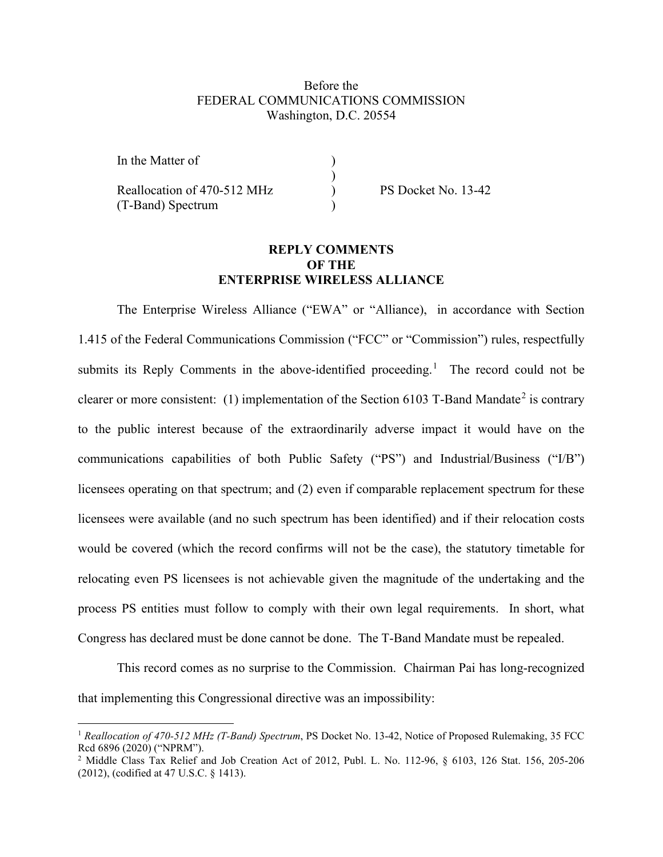## Before the FEDERAL COMMUNICATIONS COMMISSION Washington, D.C. 20554

)

| In the Matter of            |  |
|-----------------------------|--|
|                             |  |
| Reallocation of 470-512 MHz |  |
| (T-Band) Spectrum           |  |

 $P$ S Docket No. 13-42

## **REPLY COMMENTS OF THE ENTERPRISE WIRELESS ALLIANCE**

The Enterprise Wireless Alliance ("EWA" or "Alliance), in accordance with Section 1.415 of the Federal Communications Commission ("FCC" or "Commission") rules, respectfully submits its Reply Comments in the above-identified proceeding.<sup>[1](#page-0-0)</sup> The record could not be clearer or more consistent: (1) implementation of the Section 6103 T-Band Mandate<sup>[2](#page-0-1)</sup> is contrary to the public interest because of the extraordinarily adverse impact it would have on the communications capabilities of both Public Safety ("PS") and Industrial/Business ("I/B") licensees operating on that spectrum; and (2) even if comparable replacement spectrum for these licensees were available (and no such spectrum has been identified) and if their relocation costs would be covered (which the record confirms will not be the case), the statutory timetable for relocating even PS licensees is not achievable given the magnitude of the undertaking and the process PS entities must follow to comply with their own legal requirements. In short, what Congress has declared must be done cannot be done. The T-Band Mandate must be repealed.

This record comes as no surprise to the Commission. Chairman Pai has long-recognized that implementing this Congressional directive was an impossibility:

<span id="page-0-0"></span><sup>&</sup>lt;sup>1</sup> *Reallocation of 470-512 MHz (T-Band) Spectrum*, PS Docket No. 13-42, Notice of Proposed Rulemaking, 35 FCC Red 6896 (2020) ("NPRM").

<span id="page-0-1"></span><sup>&</sup>lt;sup>2</sup> Middle Class Tax Relief and Job Creation Act of 2012, Publ. L. No. 112-96,  $§$  6103, 126 Stat. 156, 205-206 (2012), (codified at 47 U.S.C. § 1413).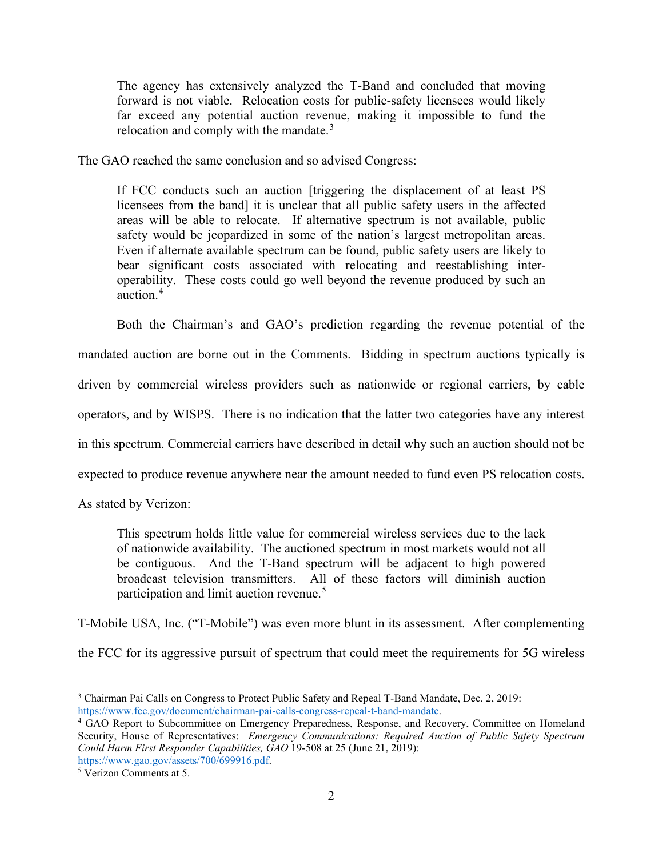The agency has extensively analyzed the T-Band and concluded that moving forward is not viable. Relocation costs for public-safety licensees would likely far exceed any potential auction revenue, making it impossible to fund the relocation and comply with the mandate. $3$ 

The GAO reached the same conclusion and so advised Congress:

If FCC conducts such an auction [triggering the displacement of at least PS licensees from the band] it is unclear that all public safety users in the affected areas will be able to relocate. If alternative spectrum is not available, public safety would be jeopardized in some of the nation's largest metropolitan areas. Even if alternate available spectrum can be found, public safety users are likely to bear significant costs associated with relocating and reestablishing interoperability. These costs could go well beyond the revenue produced by such an auction. [4](#page-1-1)

Both the Chairman's and GAO's prediction regarding the revenue potential of the mandated auction are borne out in the Comments. Bidding in spectrum auctions typically is driven by commercial wireless providers such as nationwide or regional carriers, by cable operators, and by WISPS. There is no indication that the latter two categories have any interest in this spectrum. Commercial carriers have described in detail why such an auction should not be expected to produce revenue anywhere near the amount needed to fund even PS relocation costs.

As stated by Verizon:

This spectrum holds little value for commercial wireless services due to the lack of nationwide availability. The auctioned spectrum in most markets would not all be contiguous. And the T-Band spectrum will be adjacent to high powered broadcast television transmitters. All of these factors will diminish auction participation and limit auction revenue.<sup>[5](#page-1-2)</sup>

T-Mobile USA, Inc. ("T-Mobile") was even more blunt in its assessment. After complementing

the FCC for its aggressive pursuit of spectrum that could meet the requirements for 5G wireless

<span id="page-1-0"></span><sup>3</sup> Chairman Pai Calls on Congress to Protect Public Safety and Repeal T-Band Mandate, Dec. 2, 2019: [https://www.fcc.gov/document/chairman-pai-calls-congress-repeal-t-band-mandate.](https://www.fcc.gov/document/chairman-pai-calls-congress-repeal-t-band-mandate)

<span id="page-1-1"></span><sup>4</sup> GAO Report to Subcommittee on Emergency Preparedness, Response, and Recovery, Committee on Homeland Security, House of Representatives: *Emergency Communications: Required Auction of Public Safety Spectrum Could Harm First Responder Capabilities, GAO* 19-508 at 25 (June 21, 2019): [https://www.gao.gov/assets/700/699916.pdf.](https://www.gao.gov/assets/700/699916.pdf)

<span id="page-1-2"></span><sup>5</sup> Verizon Comments at 5.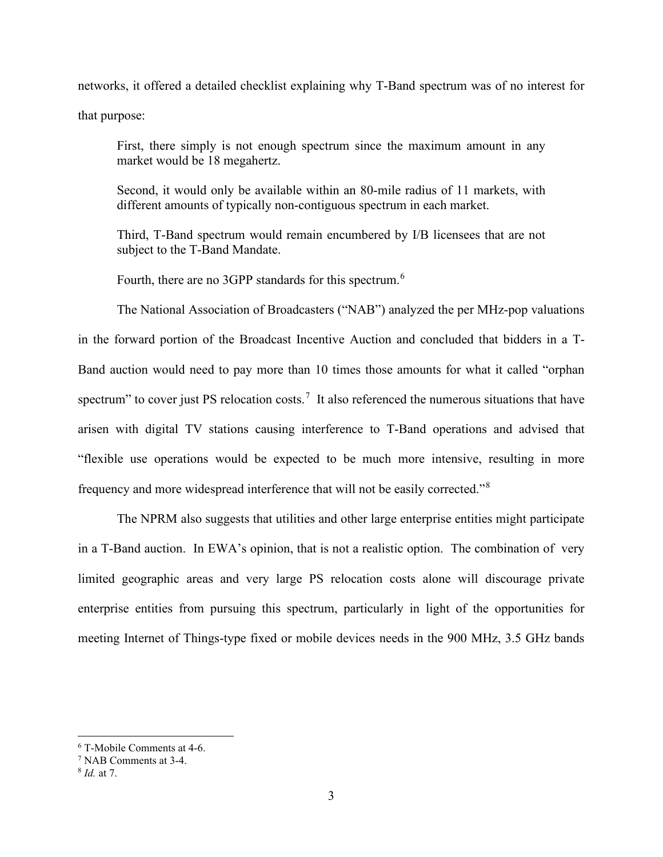networks, it offered a detailed checklist explaining why T-Band spectrum was of no interest for that purpose:

First, there simply is not enough spectrum since the maximum amount in any market would be 18 megahertz.

Second, it would only be available within an 80-mile radius of 11 markets, with different amounts of typically non-contiguous spectrum in each market.

Third, T-Band spectrum would remain encumbered by I/B licensees that are not subject to the T-Band Mandate.

Fourth, there are no 3GPP standards for this spectrum.<sup>[6](#page-2-0)</sup>

The National Association of Broadcasters ("NAB") analyzed the per MHz-pop valuations in the forward portion of the Broadcast Incentive Auction and concluded that bidders in a T-Band auction would need to pay more than 10 times those amounts for what it called "orphan spectrum" to cover just PS relocation costs.<sup>[7](#page-2-1)</sup> It also referenced the numerous situations that have arisen with digital TV stations causing interference to T-Band operations and advised that "flexible use operations would be expected to be much more intensive, resulting in more frequency and more widespread interference that will not be easily corrected."[8](#page-2-2)

The NPRM also suggests that utilities and other large enterprise entities might participate in a T-Band auction. In EWA's opinion, that is not a realistic option. The combination of very limited geographic areas and very large PS relocation costs alone will discourage private enterprise entities from pursuing this spectrum, particularly in light of the opportunities for meeting Internet of Things-type fixed or mobile devices needs in the 900 MHz, 3.5 GHz bands

<span id="page-2-0"></span><sup>6</sup> T-Mobile Comments at 4-6.

<span id="page-2-1"></span><sup>7</sup> NAB Comments at 3-4.

<span id="page-2-2"></span><sup>8</sup> *Id.* at 7.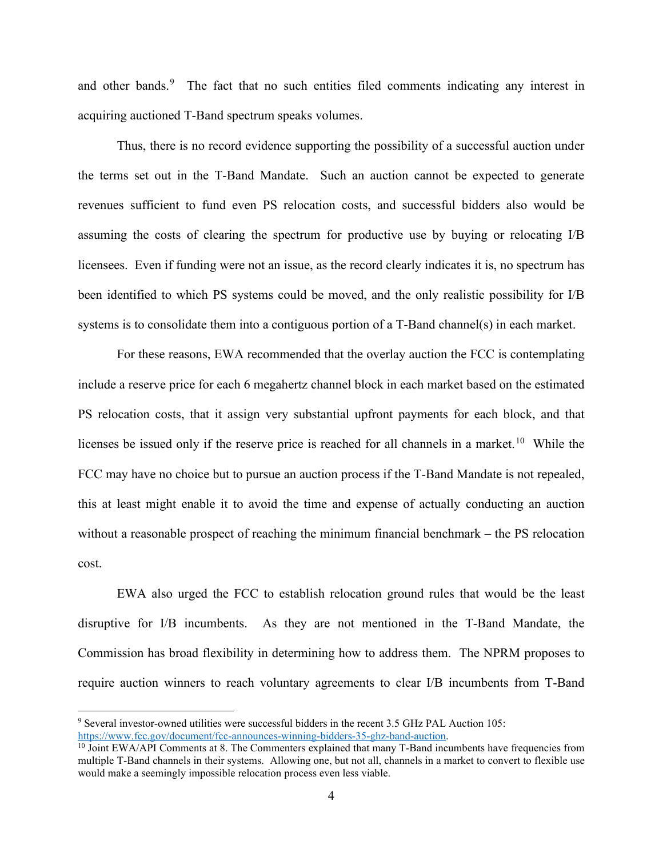and other bands.<sup>[9](#page-3-0)</sup> The fact that no such entities filed comments indicating any interest in acquiring auctioned T-Band spectrum speaks volumes.

Thus, there is no record evidence supporting the possibility of a successful auction under the terms set out in the T-Band Mandate. Such an auction cannot be expected to generate revenues sufficient to fund even PS relocation costs, and successful bidders also would be assuming the costs of clearing the spectrum for productive use by buying or relocating I/B licensees. Even if funding were not an issue, as the record clearly indicates it is, no spectrum has been identified to which PS systems could be moved, and the only realistic possibility for I/B systems is to consolidate them into a contiguous portion of a T-Band channel(s) in each market.

For these reasons, EWA recommended that the overlay auction the FCC is contemplating include a reserve price for each 6 megahertz channel block in each market based on the estimated PS relocation costs, that it assign very substantial upfront payments for each block, and that licenses be issued only if the reserve price is reached for all channels in a market.<sup>10</sup> While the FCC may have no choice but to pursue an auction process if the T-Band Mandate is not repealed, this at least might enable it to avoid the time and expense of actually conducting an auction without a reasonable prospect of reaching the minimum financial benchmark – the PS relocation cost.

EWA also urged the FCC to establish relocation ground rules that would be the least disruptive for I/B incumbents. As they are not mentioned in the T-Band Mandate, the Commission has broad flexibility in determining how to address them. The NPRM proposes to require auction winners to reach voluntary agreements to clear I/B incumbents from T-Band

<span id="page-3-0"></span><sup>9</sup> Several investor-owned utilities were successful bidders in the recent 3.5 GHz PAL Auction 105: [https://www.fcc.gov/document/fcc-announces-winning-bidders-35-ghz-band-auction.](https://www.fcc.gov/document/fcc-announces-winning-bidders-35-ghz-band-auction)

<span id="page-3-1"></span><sup>&</sup>lt;sup>10</sup> Joint EWA/API Comments at 8. The Commenters explained that many T-Band incumbents have frequencies from multiple T-Band channels in their systems. Allowing one, but not all, channels in a market to convert to flexible use would make a seemingly impossible relocation process even less viable.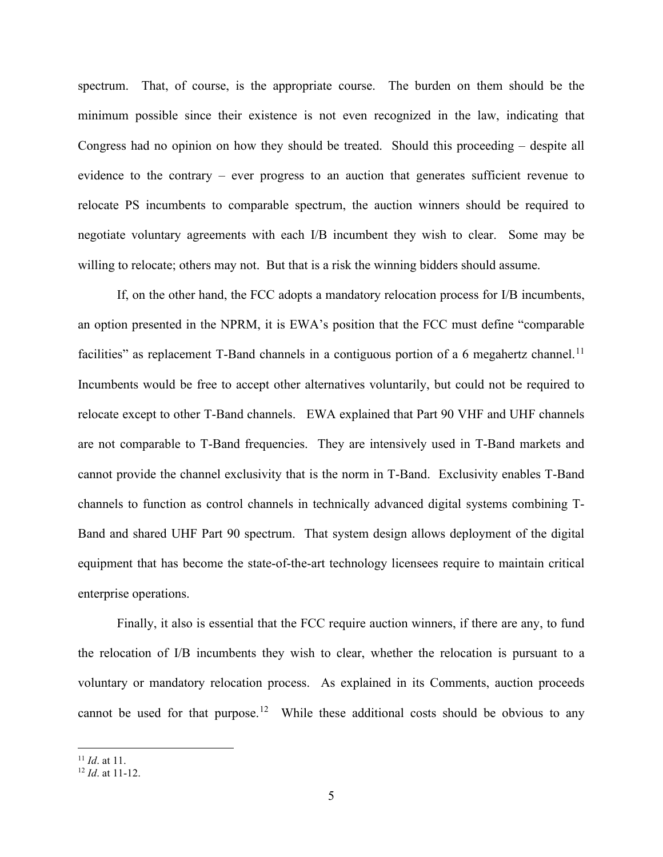spectrum. That, of course, is the appropriate course. The burden on them should be the minimum possible since their existence is not even recognized in the law, indicating that Congress had no opinion on how they should be treated. Should this proceeding – despite all evidence to the contrary – ever progress to an auction that generates sufficient revenue to relocate PS incumbents to comparable spectrum, the auction winners should be required to negotiate voluntary agreements with each I/B incumbent they wish to clear. Some may be willing to relocate; others may not. But that is a risk the winning bidders should assume.

If, on the other hand, the FCC adopts a mandatory relocation process for I/B incumbents, an option presented in the NPRM, it is EWA's position that the FCC must define "comparable facilities" as replacement T-Band channels in a contiguous portion of a 6 megahertz channel.<sup>[11](#page-4-0)</sup> Incumbents would be free to accept other alternatives voluntarily, but could not be required to relocate except to other T-Band channels. EWA explained that Part 90 VHF and UHF channels are not comparable to T-Band frequencies. They are intensively used in T-Band markets and cannot provide the channel exclusivity that is the norm in T-Band. Exclusivity enables T-Band channels to function as control channels in technically advanced digital systems combining T-Band and shared UHF Part 90 spectrum. That system design allows deployment of the digital equipment that has become the state-of-the-art technology licensees require to maintain critical enterprise operations.

Finally, it also is essential that the FCC require auction winners, if there are any, to fund the relocation of I/B incumbents they wish to clear, whether the relocation is pursuant to a voluntary or mandatory relocation process. As explained in its Comments, auction proceeds cannot be used for that purpose.<sup>[12](#page-4-1)</sup> While these additional costs should be obvious to any

<span id="page-4-0"></span><sup>11</sup> *Id*. at 11.

<span id="page-4-1"></span><sup>12</sup> *Id*. at 11-12.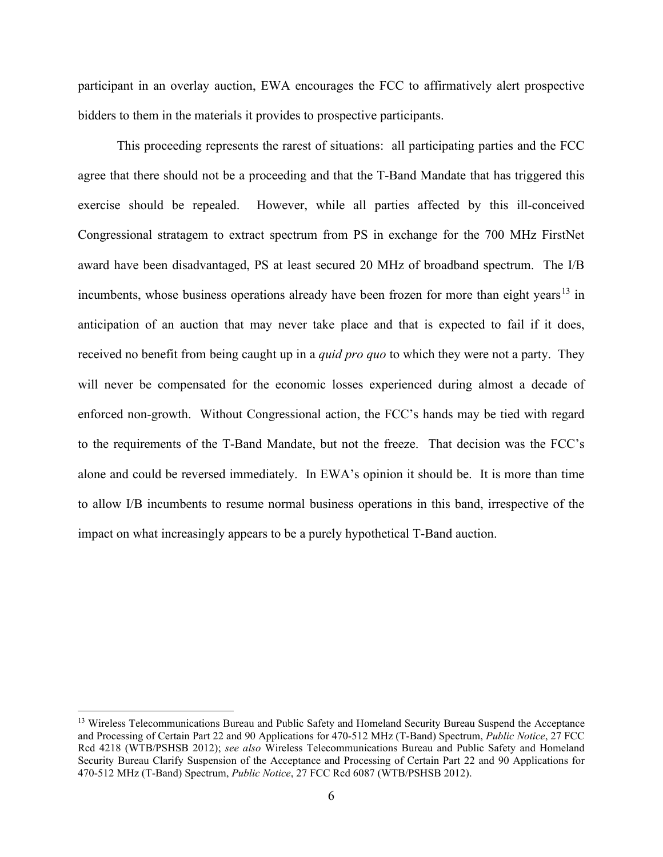participant in an overlay auction, EWA encourages the FCC to affirmatively alert prospective bidders to them in the materials it provides to prospective participants.

This proceeding represents the rarest of situations: all participating parties and the FCC agree that there should not be a proceeding and that the T-Band Mandate that has triggered this exercise should be repealed. However, while all parties affected by this ill-conceived Congressional stratagem to extract spectrum from PS in exchange for the 700 MHz FirstNet award have been disadvantaged, PS at least secured 20 MHz of broadband spectrum. The I/B incumbents, whose business operations already have been frozen for more than eight years<sup>[13](#page-5-0)</sup> in anticipation of an auction that may never take place and that is expected to fail if it does, received no benefit from being caught up in a *quid pro quo* to which they were not a party. They will never be compensated for the economic losses experienced during almost a decade of enforced non-growth. Without Congressional action, the FCC's hands may be tied with regard to the requirements of the T-Band Mandate, but not the freeze. That decision was the FCC's alone and could be reversed immediately. In EWA's opinion it should be. It is more than time to allow I/B incumbents to resume normal business operations in this band, irrespective of the impact on what increasingly appears to be a purely hypothetical T-Band auction.

<span id="page-5-0"></span><sup>&</sup>lt;sup>13</sup> Wireless Telecommunications Bureau and Public Safety and Homeland Security Bureau Suspend the Acceptance and Processing of Certain Part 22 and 90 Applications for 470-512 MHz (T-Band) Spectrum, *Public Notice*, 27 FCC Rcd 4218 (WTB/PSHSB 2012); *see also* Wireless Telecommunications Bureau and Public Safety and Homeland Security Bureau Clarify Suspension of the Acceptance and Processing of Certain Part 22 and 90 Applications for 470-512 MHz (T-Band) Spectrum, *Public Notice*, 27 FCC Rcd 6087 (WTB/PSHSB 2012).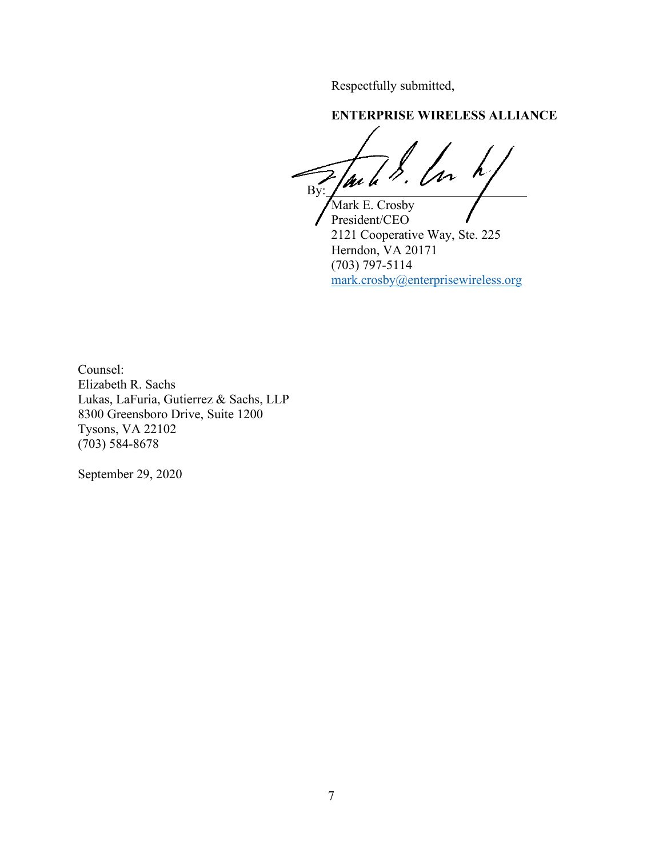Respectfully submitted,

**ENTERPRISE WIRELESS ALLIANCE**

 $\mathcal{L}_{\mathcal{A}}$ m hi By:  $\sqrt{ }$ 

Mark E. Crosby President/CEO 2121 Cooperative Way, Ste. 225 Herndon, VA 20171 (703) 797-5114 [mark.crosby@enterprisewireless.org](mailto:mark.crosby@enterprisewireless.org)

Counsel: Elizabeth R. Sachs Lukas, LaFuria, Gutierrez & Sachs, LLP 8300 Greensboro Drive, Suite 1200 Tysons, VA 22102 (703) 584-8678

September 29, 2020